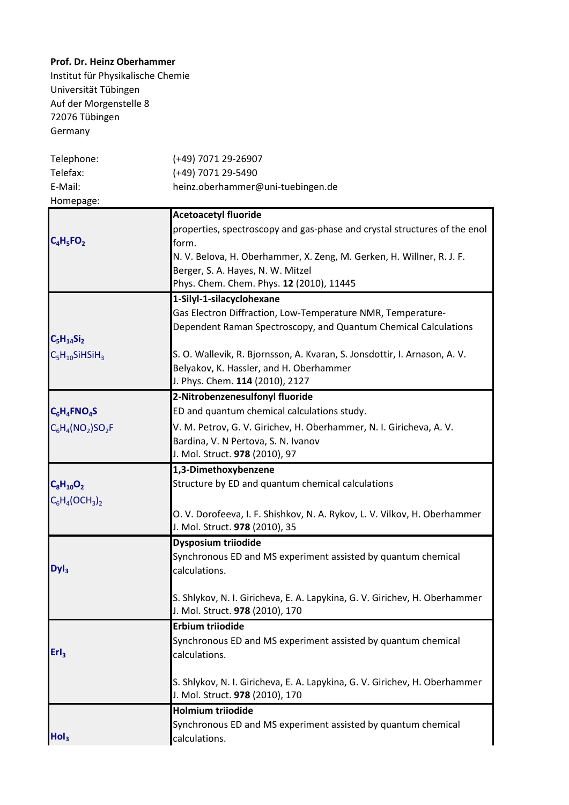## **Prof. Dr. Heinz Oberhammer**

Institut für Physikalische Chemie Universität Tübingen Auf der Morgenstelle 8 72076 Tübingen Germany

| Telephone:                      | (+49) 7071 29-26907                                                        |
|---------------------------------|----------------------------------------------------------------------------|
| Telefax:                        | (+49) 7071 29-5490                                                         |
| E-Mail:                         | heinz.oberhammer@uni-tuebingen.de                                          |
| Homepage:                       |                                                                            |
|                                 | <b>Acetoacetyl fluoride</b>                                                |
|                                 | properties, spectroscopy and gas-phase and crystal structures of the enol  |
| $C_4H_5FO_2$                    | form.                                                                      |
|                                 | N. V. Belova, H. Oberhammer, X. Zeng, M. Gerken, H. Willner, R. J. F.      |
|                                 | Berger, S. A. Hayes, N. W. Mitzel                                          |
|                                 | Phys. Chem. Chem. Phys. 12 (2010), 11445                                   |
|                                 | 1-Silyl-1-silacyclohexane                                                  |
|                                 | Gas Electron Diffraction, Low-Temperature NMR, Temperature-                |
|                                 | Dependent Raman Spectroscopy, and Quantum Chemical Calculations            |
| $C_5H_{14}Si_2$                 |                                                                            |
| $C_5H_{10}S$ iHSiH <sub>3</sub> | S. O. Wallevik, R. Bjornsson, A. Kvaran, S. Jonsdottir, I. Arnason, A. V.  |
|                                 | Belyakov, K. Hassler, and H. Oberhammer                                    |
|                                 | J. Phys. Chem. 114 (2010), 2127                                            |
|                                 | 2-Nitrobenzenesulfonyl fluoride                                            |
| $C_6H_4FNO_4S$                  | ED and quantum chemical calculations study.                                |
| $C_6H_4(NO_2)SO_2F$             | V. M. Petrov, G. V. Girichev, H. Oberhammer, N. I. Giricheva, A. V.        |
|                                 | Bardina, V. N Pertova, S. N. Ivanov                                        |
|                                 | J. Mol. Struct. 978 (2010), 97                                             |
|                                 | 1,3-Dimethoxybenzene                                                       |
| $C_8H_{10}O_2$                  | Structure by ED and quantum chemical calculations                          |
|                                 |                                                                            |
| $C_6H_4(OCH_3)_2$               | O. V. Dorofeeva, I. F. Shishkov, N. A. Rykov, L. V. Vilkov, H. Oberhammer  |
|                                 | J. Mol. Struct. 978 (2010), 35                                             |
|                                 | Dysposium triiodide                                                        |
|                                 | Synchronous ED and MS experiment assisted by quantum chemical              |
| DyI <sub>3</sub>                | calculations.                                                              |
|                                 |                                                                            |
|                                 | S. Shlykov, N. I. Giricheva, E. A. Lapykina, G. V. Girichev, H. Oberhammer |
|                                 | J. Mol. Struct. 978 (2010), 170                                            |
|                                 | <b>Erbium triiodide</b>                                                    |
|                                 | Synchronous ED and MS experiment assisted by quantum chemical              |
| Erl <sub>3</sub>                | calculations.                                                              |
|                                 |                                                                            |
|                                 | S. Shlykov, N. I. Giricheva, E. A. Lapykina, G. V. Girichev, H. Oberhammer |
|                                 | J. Mol. Struct. 978 (2010), 170                                            |
|                                 | <b>Holmium triiodide</b>                                                   |
|                                 | Synchronous ED and MS experiment assisted by quantum chemical              |
| Hol <sub>3</sub>                | calculations.                                                              |
|                                 |                                                                            |